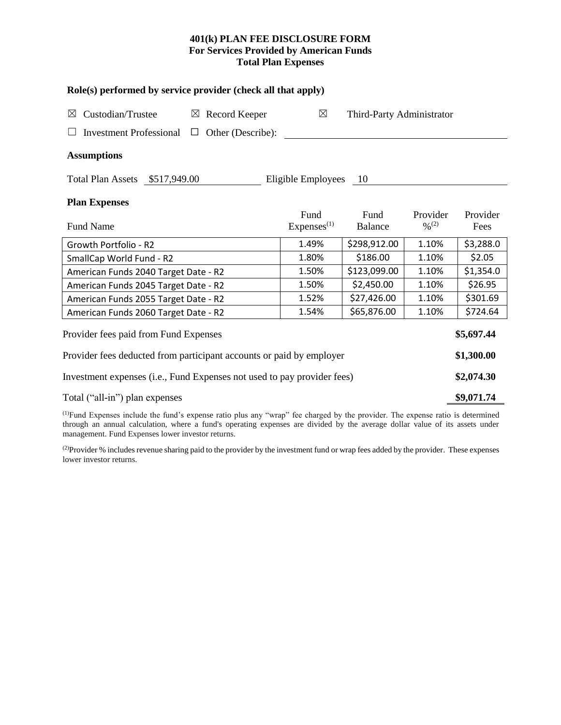### **401(k) PLAN FEE DISCLOSURE FORM For Services Provided by American Funds Total Plan Expenses**

| Role(s) performed by service provider (check all that apply)            |                           |                        |                           |                              |            |  |  |  |
|-------------------------------------------------------------------------|---------------------------|------------------------|---------------------------|------------------------------|------------|--|--|--|
| Custodian/Trustee<br>$\boxtimes$                                        | $\boxtimes$ Record Keeper |                        | Third-Party Administrator |                              |            |  |  |  |
| Other (Describe):<br><b>Investment Professional</b><br>⊔                |                           |                        |                           |                              |            |  |  |  |
| <b>Assumptions</b>                                                      |                           |                        |                           |                              |            |  |  |  |
| Total Plan Assets \$517,949.00                                          |                           | Eligible Employees     | - 10                      |                              |            |  |  |  |
| <b>Plan Expenses</b>                                                    |                           |                        |                           |                              |            |  |  |  |
|                                                                         |                           | Fund                   | Fund                      | Provider                     | Provider   |  |  |  |
| <b>Fund Name</b>                                                        |                           | Express <sup>(1)</sup> | <b>Balance</b>            | $\frac{0}{2}$ <sup>(2)</sup> | Fees       |  |  |  |
| Growth Portfolio - R2                                                   |                           | 1.49%                  | \$298,912.00              | 1.10%                        | \$3,288.0  |  |  |  |
| SmallCap World Fund - R2                                                |                           | 1.80%                  | \$186.00                  | 1.10%                        | \$2.05     |  |  |  |
| American Funds 2040 Target Date - R2                                    |                           | 1.50%                  | \$123,099.00              | 1.10%                        | \$1,354.0  |  |  |  |
| American Funds 2045 Target Date - R2                                    |                           | 1.50%                  | \$2,450.00                | 1.10%                        | \$26.95    |  |  |  |
| American Funds 2055 Target Date - R2                                    |                           | 1.52%                  | \$27,426.00               | 1.10%                        | \$301.69   |  |  |  |
| American Funds 2060 Target Date - R2                                    |                           | 1.54%                  | \$65,876.00               | 1.10%                        | \$724.64   |  |  |  |
| Provider fees paid from Fund Expenses                                   |                           |                        |                           |                              | \$5,697.44 |  |  |  |
| Provider fees deducted from participant accounts or paid by employer    |                           |                        |                           |                              | \$1,300.00 |  |  |  |
| Investment expenses (i.e., Fund Expenses not used to pay provider fees) |                           |                        |                           |                              | \$2,074.30 |  |  |  |
| Total ("all-in") plan expenses                                          |                           |                        |                           |                              |            |  |  |  |

(1)Fund Expenses include the fund's expense ratio plus any "wrap" fee charged by the provider. The expense ratio is determined through an annual calculation, where a fund's operating expenses are divided by the average dollar value of its assets under management. Fund Expenses lower investor returns.

<sup>(2)</sup>Provider % includes revenue sharing paid to the provider by the investment fund or wrap fees added by the provider. These expenses lower investor returns.